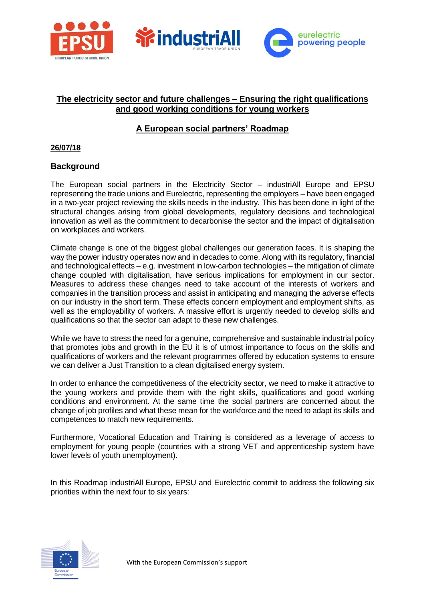

### **The electricity sector and future challenges – Ensuring the right qualifications and good working conditions for young workers**

# **A European social partners' Roadmap**

#### **26/07/18**

### **Background**

The European social partners in the Electricity Sector – industriAll Europe and EPSU representing the trade unions and Eurelectric, representing the employers – have been engaged in a two-year project reviewing the skills needs in the industry. This has been done in light of the structural changes arising from global developments, regulatory decisions and technological innovation as well as the commitment to decarbonise the sector and the impact of digitalisation on workplaces and workers.

Climate change is one of the biggest global challenges our generation faces. It is shaping the way the power industry operates now and in decades to come. Along with its regulatory, financial and technological effects – e.g. investment in low-carbon technologies – the mitigation of climate change coupled with digitalisation, have serious implications for employment in our sector. Measures to address these changes need to take account of the interests of workers and companies in the transition process and assist in anticipating and managing the adverse effects on our industry in the short term. These effects concern employment and employment shifts, as well as the employability of workers. A massive effort is urgently needed to develop skills and qualifications so that the sector can adapt to these new challenges.

While we have to stress the need for a genuine, comprehensive and sustainable industrial policy that promotes jobs and growth in the EU it is of utmost importance to focus on the skills and qualifications of workers and the relevant programmes offered by education systems to ensure we can deliver a Just Transition to a clean digitalised energy system.

In order to enhance the competitiveness of the electricity sector, we need to make it attractive to the young workers and provide them with the right skills, qualifications and good working conditions and environment. At the same time the social partners are concerned about the change of job profiles and what these mean for the workforce and the need to adapt its skills and competences to match new requirements.

Furthermore, Vocational Education and Training is considered as a leverage of access to employment for young people (countries with a strong VET and apprenticeship system have lower levels of youth unemployment).

In this Roadmap industriAll Europe, EPSU and Eurelectric commit to address the following six priorities within the next four to six years:

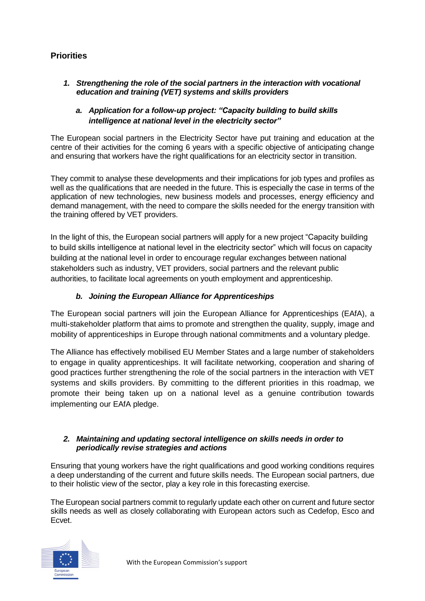# **Priorities**

*1. Strengthening the role of the social partners in the interaction with vocational education and training (VET) systems and skills providers* 

### *a. Application for a follow-up project: "Capacity building to build skills intelligence at national level in the electricity sector"*

The European social partners in the Electricity Sector have put training and education at the centre of their activities for the coming 6 years with a specific objective of anticipating change and ensuring that workers have the right qualifications for an electricity sector in transition.

They commit to analyse these developments and their implications for job types and profiles as well as the qualifications that are needed in the future. This is especially the case in terms of the application of new technologies, new business models and processes, energy efficiency and demand management, with the need to compare the skills needed for the energy transition with the training offered by VET providers.

In the light of this, the European social partners will apply for a new project "Capacity building to build skills intelligence at national level in the electricity sector" which will focus on capacity building at the national level in order to encourage regular exchanges between national stakeholders such as industry, VET providers, social partners and the relevant public authorities, to facilitate local agreements on youth employment and apprenticeship.

### *b. Joining the European Alliance for Apprenticeships*

The European social partners will join the European Alliance for Apprenticeships (EAfA), a multi-stakeholder platform that aims to promote and strengthen the quality, supply, image and mobility of apprenticeships in Europe through national commitments and a voluntary pledge.

The Alliance has effectively mobilised EU Member States and a large number of stakeholders to engage in quality apprenticeships. It will facilitate networking, cooperation and sharing of good practices further strengthening the role of the social partners in the interaction with VET systems and skills providers. By committing to the different priorities in this roadmap, we promote their being taken up on a national level as a genuine contribution towards implementing our EAfA pledge.

#### *2. Maintaining and updating sectoral intelligence on skills needs in order to periodically revise strategies and actions*

Ensuring that young workers have the right qualifications and good working conditions requires a deep understanding of the current and future skills needs. The European social partners, due to their holistic view of the sector, play a key role in this forecasting exercise.

The European social partners commit to regularly update each other on current and future sector skills needs as well as closely collaborating with European actors such as Cedefop, Esco and Ecvet.

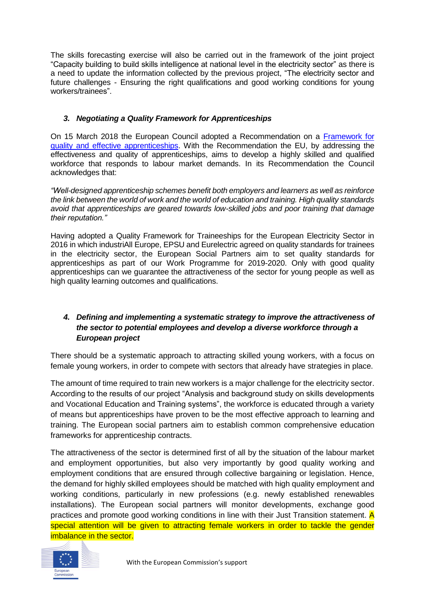The skills forecasting exercise will also be carried out in the framework of the joint project "Capacity building to build skills intelligence at national level in the electricity sector" as there is a need to update the information collected by the previous project, "The electricity sector and future challenges - Ensuring the right qualifications and good working conditions for young workers/trainees".

### *3. Negotiating a Quality Framework for Apprenticeships*

On 15 March 2018 the European Council adopted a Recommendation on a [Framework for](http://data.consilium.europa.eu/doc/document/ST-6779-2018-INIT/en/pdf)  [quality and effective apprenticeships.](http://data.consilium.europa.eu/doc/document/ST-6779-2018-INIT/en/pdf) With the Recommendation the EU, by addressing the effectiveness and quality of apprenticeships, aims to develop a highly skilled and qualified workforce that responds to labour market demands. In its Recommendation the Council acknowledges that:

*"Well-designed apprenticeship schemes benefit both employers and learners as well as reinforce the link between the world of work and the world of education and training. High quality standards avoid that apprenticeships are geared towards low-skilled jobs and poor training that damage their reputation."*

Having adopted a Quality Framework for Traineeships for the European Electricity Sector in 2016 in which industriAll Europe, EPSU and Eurelectric agreed on quality standards for trainees in the electricity sector, the European Social Partners aim to set quality standards for apprenticeships as part of our Work Programme for 2019-2020. Only with good quality apprenticeships can we guarantee the attractiveness of the sector for young people as well as high quality learning outcomes and qualifications.

## *4. Defining and implementing a systematic strategy to improve the attractiveness of the sector to potential employees and develop a diverse workforce through a European project*

There should be a systematic approach to attracting skilled young workers, with a focus on female young workers, in order to compete with sectors that already have strategies in place.

The amount of time required to train new workers is a major challenge for the electricity sector. According to the results of our project "Analysis and background study on skills developments and Vocational Education and Training systems", the workforce is educated through a variety of means but apprenticeships have proven to be the most effective approach to learning and training. The European social partners aim to establish common comprehensive education frameworks for apprenticeship contracts.

The attractiveness of the sector is determined first of all by the situation of the labour market and employment opportunities, but also very importantly by good quality working and employment conditions that are ensured through collective bargaining or legislation. Hence, the demand for highly skilled employees should be matched with high quality employment and working conditions, particularly in new professions (e.g. newly established renewables installations). The European social partners will monitor developments, exchange good practices and promote good working conditions in line with their Just Transition statement. A special attention will be given to attracting female workers in order to tackle the gender imbalance in the sector.

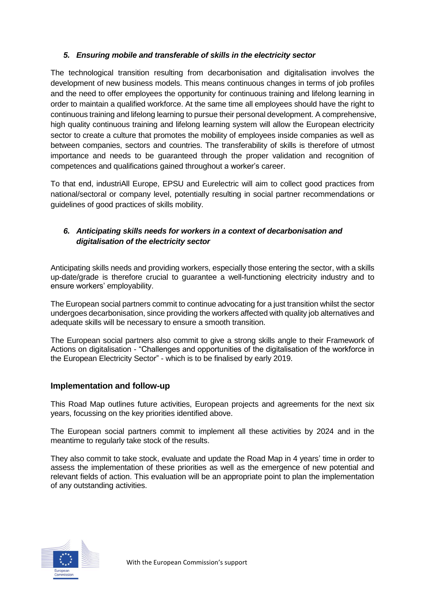### *5. Ensuring mobile and transferable of skills in the electricity sector*

The technological transition resulting from decarbonisation and digitalisation involves the development of new business models. This means continuous changes in terms of job profiles and the need to offer employees the opportunity for continuous training and lifelong learning in order to maintain a qualified workforce. At the same time all employees should have the right to continuous training and lifelong learning to pursue their personal development. A comprehensive, high quality continuous training and lifelong learning system will allow the European electricity sector to create a culture that promotes the mobility of employees inside companies as well as between companies, sectors and countries. The transferability of skills is therefore of utmost importance and needs to be guaranteed through the proper validation and recognition of competences and qualifications gained throughout a worker's career.

To that end, industriAll Europe, EPSU and Eurelectric will aim to collect good practices from national/sectoral or company level, potentially resulting in social partner recommendations or guidelines of good practices of skills mobility.

# *6. Anticipating skills needs for workers in a context of decarbonisation and digitalisation of the electricity sector*

Anticipating skills needs and providing workers, especially those entering the sector, with a skills up-date/grade is therefore crucial to guarantee a well-functioning electricity industry and to ensure workers' employability.

The European social partners commit to continue advocating for a just transition whilst the sector undergoes decarbonisation, since providing the workers affected with quality job alternatives and adequate skills will be necessary to ensure a smooth transition.

The European social partners also commit to give a strong skills angle to their Framework of Actions on digitalisation - "Challenges and opportunities of the digitalisation of the workforce in the European Electricity Sector" - which is to be finalised by early 2019.

### **Implementation and follow-up**

This Road Map outlines future activities, European projects and agreements for the next six years, focussing on the key priorities identified above.

The European social partners commit to implement all these activities by 2024 and in the meantime to regularly take stock of the results.

They also commit to take stock, evaluate and update the Road Map in 4 years' time in order to assess the implementation of these priorities as well as the emergence of new potential and relevant fields of action. This evaluation will be an appropriate point to plan the implementation of any outstanding activities.